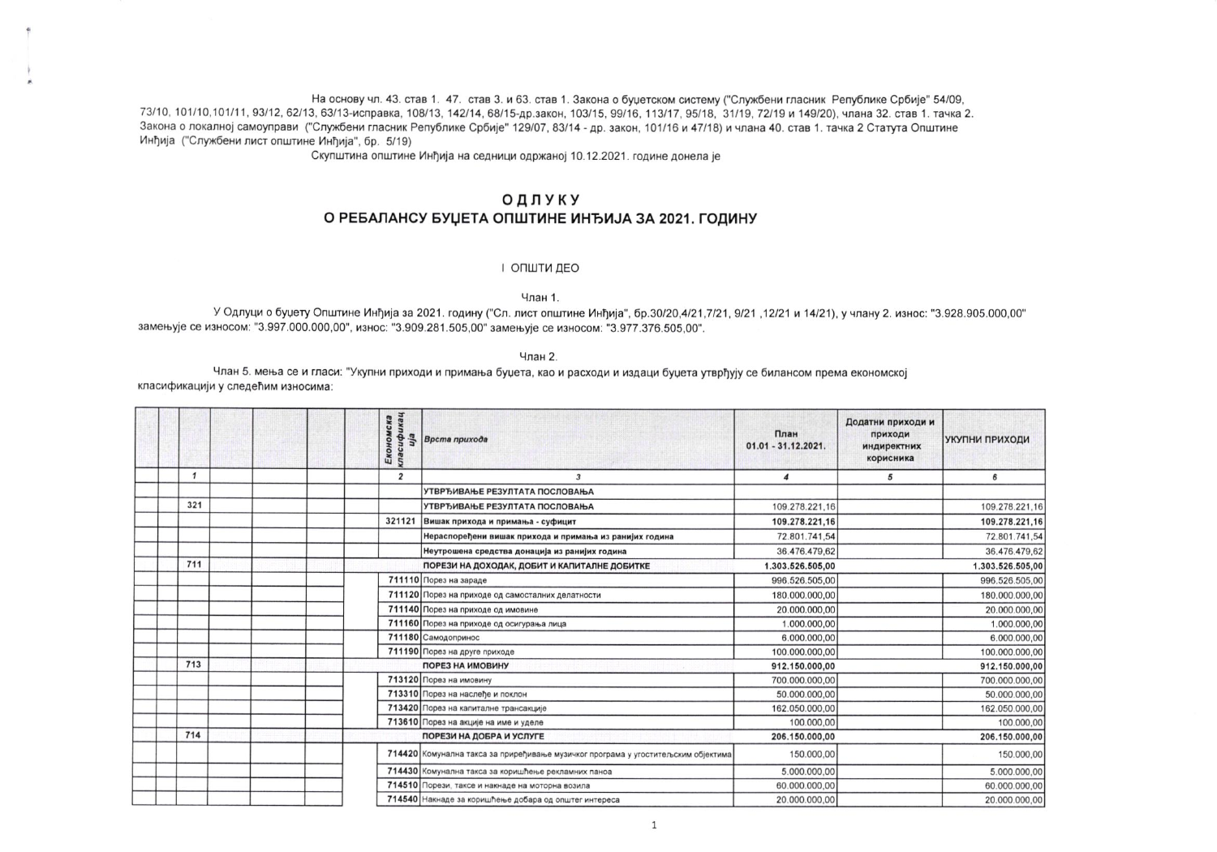На основу чл. 43. став 1. 47. став 3. и 63. став 1. Закона о буџетском систему ("Службени гласник Републике Србије" 54/09, 73/10, 101/10, 101/11, 93/12, 62/13, 63/13-исправка, 108/13, 142/14, 68/15-др.закон, 103/15, 99/16, 113/17, 95/18, 31/19, 72/19 и 149/20), члана 32, став 1, тачка 2, Закона о локалној самоуправи ("Службени гласник Републике Србије" 129/07, 83/14 - др. закон, 101/16 и 47/18) и члана 40. став 1. тачка 2 Статута Општине Инђија ("Службени лист општине Инђија", бр. 5/19)

Скупштина општине Инђија на седници одржаној 10.12.2021. године донела је

## ОДЛУКУ

## О РЕБАЛАНСУ БУЏЕТА ОПШТИНЕ ИНЂИЈА ЗА 2021. ГОДИНУ

## І ОПШТИ ДЕО

Члан 1.

У Одлуци о буџету Општине Инђија за 2021. годину ("Сл. лист општине Инђија", бр.30/20,4/21,7/21, 9/21 ,12/21 и 14/21), у члану 2. износ: "3.928.905.000,00" замењује се износом: "3.997.000.000,00", износ: "3.909.281.505,00" замењује се износом: "3.977.376.505,00".

Члан 2.

Члан 5. мења се и гласи: "Укупни приходи и примања буџета, као и расходи и издаци буџета утврђују се билансом према економској класификацији у следећим износима:

|              |  | сласификац<br>Економска | Врста прихода                                                                     | План<br>01.01 - 31.12.2021. | Додатни приходи и<br>приходи<br>индиректних<br>корисника | УКУПНИ ПРИХОДИ   |
|--------------|--|-------------------------|-----------------------------------------------------------------------------------|-----------------------------|----------------------------------------------------------|------------------|
| $\mathbf{1}$ |  | $\overline{2}$          | $\overline{3}$                                                                    | $\boldsymbol{4}$            | 5                                                        | 6                |
|              |  |                         | УТВРЂИВАЊЕ РЕЗУЛТАТА ПОСЛОВАЊА                                                    |                             |                                                          |                  |
| 321          |  |                         | УТВРЂИВАЊЕ РЕЗУЛТАТА ПОСЛОВАЊА                                                    | 109.278.221.16              |                                                          | 109.278.221,16   |
|              |  | 321121                  | Вишак прихода и примања - суфицит                                                 | 109.278.221,16              |                                                          | 109.278.221,16   |
|              |  |                         | Нераспоређени вишак прихода и примања из ранијих година                           | 72.801.741,54               |                                                          | 72.801.741,54    |
|              |  |                         | Неутрошена средства донација из ранијих година                                    | 36.476.479,62               |                                                          | 36.476.479,62    |
| 711          |  |                         | ПОРЕЗИ НА ДОХОДАК, ДОБИТ И КАПИТАЛНЕ ДОБИТКЕ                                      | 1.303.526.505,00            |                                                          | 1.303.526.505,00 |
|              |  |                         | 711110 Порез на зараде                                                            | 996.526.505,00              |                                                          | 996.526.505,00   |
|              |  |                         | 711120 Порез на приходе од самосталних делатности                                 | 180.000.000,00              |                                                          | 180.000.000,00   |
|              |  |                         | 711140 Порез на приходе од имовине                                                | 20.000.000,00               |                                                          | 20.000.000,00    |
|              |  |                         | 711160 Порез на приходе од осигурања лица                                         | 1.000.000,00                |                                                          | 1.000.000,00     |
|              |  |                         | 711180 Самодопринос                                                               | 6.000.000.00                |                                                          | 6.000.000,00     |
|              |  |                         | 711190 Порез на друге приходе                                                     | 100.000.000,00              |                                                          | 100.000.000,00   |
| 713          |  |                         | ПОРЕЗ НА ИМОВИНУ                                                                  | 912.150.000,00              |                                                          | 912.150.000,00   |
|              |  |                         | 713120 Порез на имовину                                                           | 700.000.000,00              |                                                          | 700.000.000,00   |
|              |  |                         | 713310 Порез на наслеђе и поклон                                                  | 50.000.000,00               |                                                          | 50.000.000,00    |
|              |  |                         | 713420 Порез на капиталне трансакције                                             | 162.050.000,00              |                                                          | 162.050.000,00   |
|              |  |                         | 713610 Порез на акције на име и уделе                                             | 100.000,00                  |                                                          | 100.000,00       |
| 714          |  |                         | ПОРЕЗИ НА ДОБРА И УСЛУГЕ                                                          | 206.150.000,00              |                                                          | 206.150.000,00   |
|              |  |                         | 714420 Комунална такса за приређивање музичког програма у угоститељским објектима | 150.000,00                  |                                                          | 150.000,00       |
|              |  |                         | 714430 Комунална такса за коришћење рекламних паноа                               | 5.000.000,00                |                                                          | 5.000.000,00     |
|              |  |                         | 714510 Порези, таксе и накнаде на моторна возила                                  | 60.000.000,00               |                                                          | 60.000.000,00    |
|              |  |                         | 714540 Накнаде за коришћење добара од општег интереса                             | 20.000.000,00               |                                                          | 20.000.000,00    |